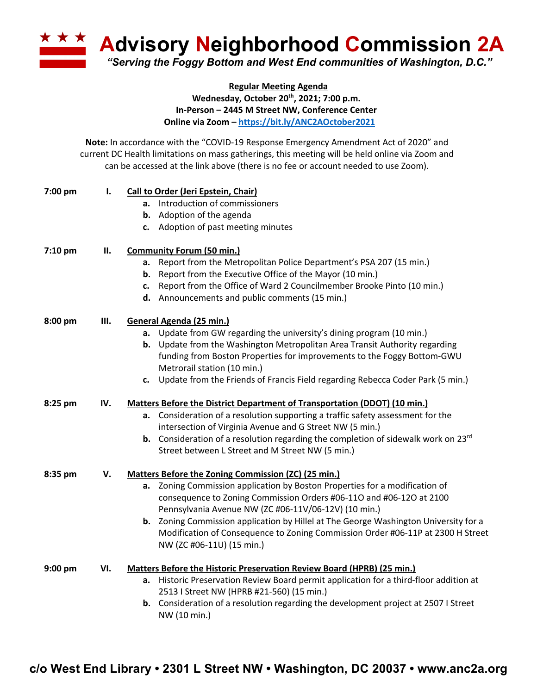**A Advisory Neighborhood Commission 2A** 

*"Serving the Foggy Bottom and West End communities of Washington, D.C."*

## **Regular Meeting Agenda Wednesday, October 20th, 2021; 7:00 p.m. In-Person – 2445 M Street NW, Conference Center Online via Zoom – https://bit.ly/ANC2AOctober2021**

**Note:** In accordance with the "COVID-19 Response Emergency Amendment Act of 2020" and current DC Health limitations on mass gatherings, this meeting will be held online via Zoom and can be accessed at the link above (there is no fee or account needed to use Zoom).

| 7:00 pm   | I.  | Call to Order (Jeri Epstein, Chair)                                                             |  |
|-----------|-----|-------------------------------------------------------------------------------------------------|--|
|           |     | a. Introduction of commissioners                                                                |  |
|           |     | <b>b.</b> Adoption of the agenda                                                                |  |
|           |     | c. Adoption of past meeting minutes                                                             |  |
| 7:10 pm   | П.  | <b>Community Forum (50 min.)</b>                                                                |  |
|           |     | Report from the Metropolitan Police Department's PSA 207 (15 min.)<br>a.                        |  |
|           |     | Report from the Executive Office of the Mayor (10 min.)<br>b.                                   |  |
|           |     | c. Report from the Office of Ward 2 Councilmember Brooke Pinto (10 min.)                        |  |
|           |     | d. Announcements and public comments (15 min.)                                                  |  |
| 8:00 pm   | Ш.  | General Agenda (25 min.)                                                                        |  |
|           |     | a. Update from GW regarding the university's dining program (10 min.)                           |  |
|           |     | b. Update from the Washington Metropolitan Area Transit Authority regarding                     |  |
|           |     | funding from Boston Properties for improvements to the Foggy Bottom-GWU                         |  |
|           |     | Metrorail station (10 min.)                                                                     |  |
|           |     | c. Update from the Friends of Francis Field regarding Rebecca Coder Park (5 min.)               |  |
| 8:25 pm   | IV. | Matters Before the District Department of Transportation (DDOT) (10 min.)                       |  |
|           |     | a. Consideration of a resolution supporting a traffic safety assessment for the                 |  |
|           |     | intersection of Virginia Avenue and G Street NW (5 min.)                                        |  |
|           |     | <b>b.</b> Consideration of a resolution regarding the completion of sidewalk work on 23 $^{rd}$ |  |
|           |     | Street between L Street and M Street NW (5 min.)                                                |  |
| 8:35 pm   | V.  | Matters Before the Zoning Commission (ZC) (25 min.)                                             |  |
|           |     | a. Zoning Commission application by Boston Properties for a modification of                     |  |
|           |     | consequence to Zoning Commission Orders #06-110 and #06-120 at 2100                             |  |
|           |     | Pennsylvania Avenue NW (ZC #06-11V/06-12V) (10 min.)                                            |  |
|           |     | b. Zoning Commission application by Hillel at The George Washington University for a            |  |
|           |     | Modification of Consequence to Zoning Commission Order #06-11P at 2300 H Street                 |  |
|           |     | NW (ZC #06-11U) (15 min.)                                                                       |  |
| $9:00$ pm | VI. | Matters Before the Historic Preservation Review Board (HPRB) (25 min.)                          |  |
|           |     | Historic Preservation Review Board permit application for a third-floor addition at<br>а.       |  |
|           |     | 2513   Street NW (HPRB #21-560) (15 min.)                                                       |  |
|           |     | b. Consideration of a resolution regarding the development project at 2507 I Street             |  |
|           |     | NW (10 min.)                                                                                    |  |